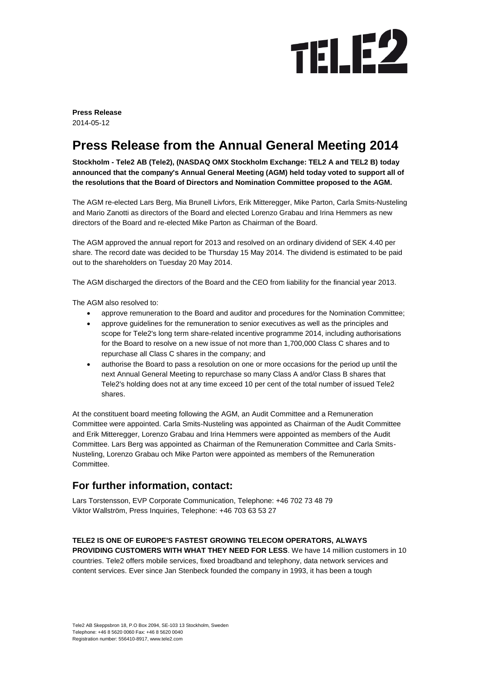

**Press Release** 2014-05-12

## **Press Release from the Annual General Meeting 2014**

**Stockholm - Tele2 AB (Tele2), (NASDAQ OMX Stockholm Exchange: TEL2 A and TEL2 B) today announced that the company's Annual General Meeting (AGM) held today voted to support all of the resolutions that the Board of Directors and Nomination Committee proposed to the AGM.**

The AGM re-elected Lars Berg, Mia Brunell Livfors, Erik Mitteregger, Mike Parton, Carla Smits-Nusteling and Mario Zanotti as directors of the Board and elected Lorenzo Grabau and Irina Hemmers as new directors of the Board and re-elected Mike Parton as Chairman of the Board.

The AGM approved the annual report for 2013 and resolved on an ordinary dividend of SEK 4.40 per share. The record date was decided to be Thursday 15 May 2014. The dividend is estimated to be paid out to the shareholders on Tuesday 20 May 2014.

The AGM discharged the directors of the Board and the CEO from liability for the financial year 2013.

The AGM also resolved to:

- approve remuneration to the Board and auditor and procedures for the Nomination Committee;
- approve guidelines for the remuneration to senior executives as well as the principles and scope for Tele2's long term share-related incentive programme 2014, including authorisations for the Board to resolve on a new issue of not more than 1,700,000 Class C shares and to repurchase all Class C shares in the company; and
- authorise the Board to pass a resolution on one or more occasions for the period up until the next Annual General Meeting to repurchase so many Class A and/or Class B shares that Tele2's holding does not at any time exceed 10 per cent of the total number of issued Tele2 shares.

At the constituent board meeting following the AGM, an Audit Committee and a Remuneration Committee were appointed. Carla Smits-Nusteling was appointed as Chairman of the Audit Committee and Erik Mitteregger, Lorenzo Grabau and Irina Hemmers were appointed as members of the Audit Committee. Lars Berg was appointed as Chairman of the Remuneration Committee and Carla Smits-Nusteling, Lorenzo Grabau och Mike Parton were appointed as members of the Remuneration Committee.

## **For further information, contact:**

Lars Torstensson, EVP Corporate Communication, Telephone: +46 702 73 48 79 Viktor Wallström, Press Inquiries, Telephone: +46 703 63 53 27

## **TELE2 IS ONE OF EUROPE'S FASTEST GROWING TELECOM OPERATORS, ALWAYS**

**PROVIDING CUSTOMERS WITH WHAT THEY NEED FOR LESS**. We have 14 million customers in 10 countries. Tele2 offers mobile services, fixed broadband and telephony, data network services and content services. Ever since Jan Stenbeck founded the company in 1993, it has been a tough